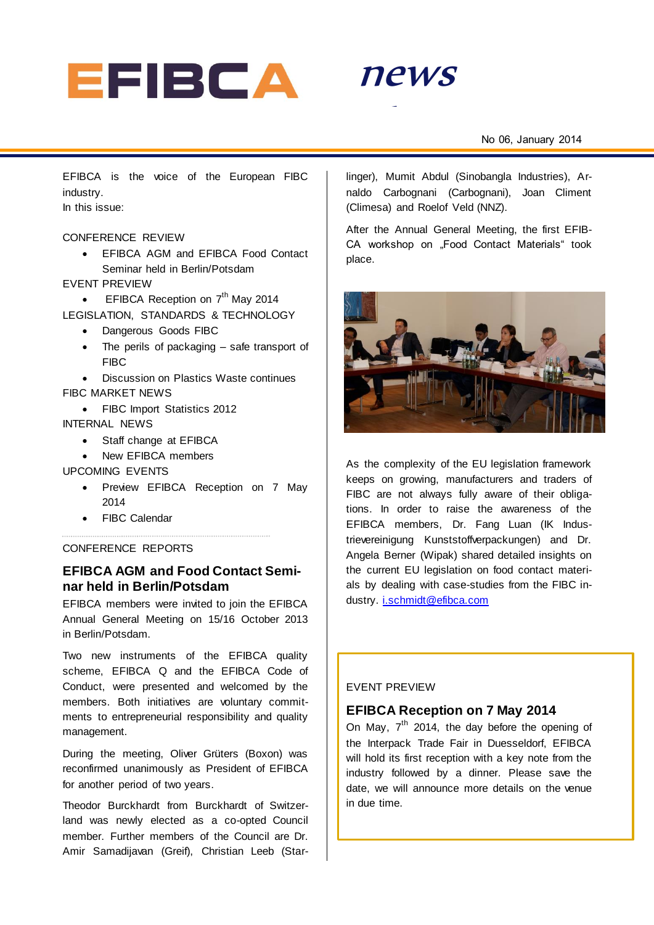



EFIBCA is the voice of the European FIBC industry. In this issue:

#### CONFERENCE REVIEW

 EFIBCA AGM and EFIBCA Food Contact Seminar held in Berlin/Potsdam

#### EVENT PREVIEW

- EFIBCA Reception on 7<sup>th</sup> May 2014 LEGISLATION, STANDARDS & TECHNOLOGY
	- Dangerous Goods FIBC
	- The perils of packaging safe transport of FIBC
- Discussion on Plastics Waste continues FIBC MARKET NEWS
	- FIBC Import Statistics 2012
- INTERNAL NEWS
	- Staff change at EFIBCA
	- New EFIBCA members

### UPCOMING EVENTS

- Preview EFIBCA Reception on 7 May 2014
- FIBC Calendar

## CONFERENCE REPORTS

# **EFIBCA AGM and Food Contact Seminar held in Berlin/Potsdam**

EFIBCA members were invited to join the EFIBCA Annual General Meeting on 15/16 October 2013 in Berlin/Potsdam.

Two new instruments of the EFIBCA quality scheme, EFIBCA Q and the EFIBCA Code of Conduct, were presented and welcomed by the members. Both initiatives are voluntary commitments to entrepreneurial responsibility and quality management.

During the meeting, Oliver Grüters (Boxon) was reconfirmed unanimously as President of EFIBCA for another period of two years.

Theodor Burckhardt from Burckhardt of Switzerland was newly elected as a co-opted Council member. Further members of the Council are Dr. Amir Samadijavan (Greif), Christian Leeb (Starlinger), Mumit Abdul (Sinobangla Industries), Arnaldo Carbognani (Carbognani), Joan Climent (Climesa) and Roelof Veld (NNZ).

After the Annual General Meeting, the first EFIB-CA workshop on "Food Contact Materials" took place.



As the complexity of the EU legislation framework keeps on growing, manufacturers and traders of FIBC are not always fully aware of their obligations. In order to raise the awareness of the EFIBCA members, Dr. Fang Luan (IK Industrievereinigung Kunststoffverpackungen) and Dr. Angela Berner (Wipak) shared detailed insights on the current EU legislation on food contact materials by dealing with case-studies from the FIBC industry. [i.schmidt@efibca.com](mailto:i.schmidt@efibca.com)

#### EVENT PREVIEW

## **EFIBCA Reception on 7 May 2014**

On May,  $7<sup>th</sup>$  2014, the day before the opening of the Interpack Trade Fair in Duesseldorf, EFIBCA will hold its first reception with a key note from the industry followed by a dinner. Please save the date, we will announce more details on the venue in due time.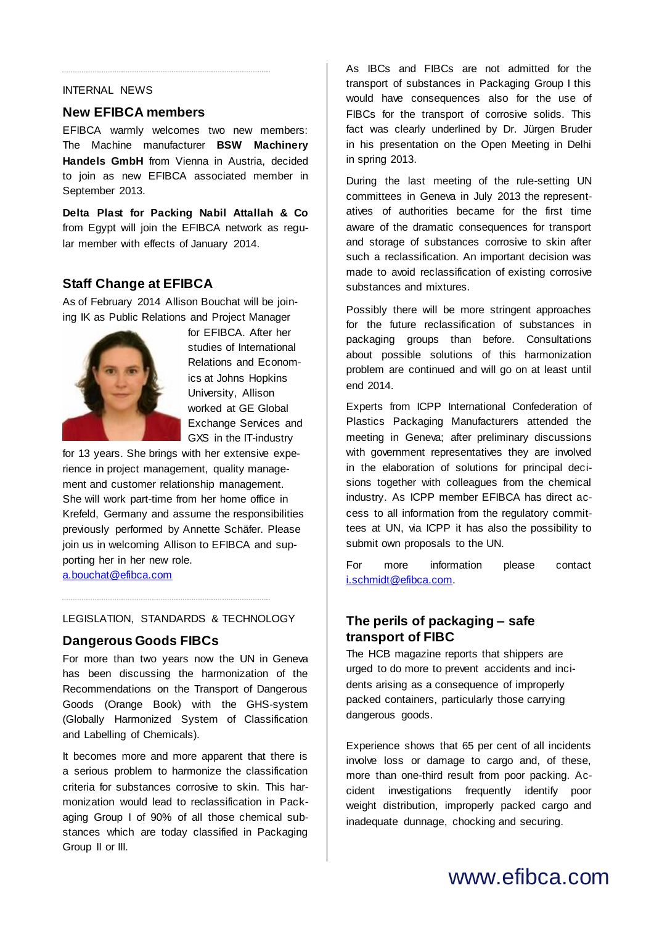## INTERNAL NEWS

#### **New EFIBCA members**

EFIBCA warmly welcomes two new members: The Machine manufacturer **BSW Machinery Handels GmbH** from Vienna in Austria, decided to join as new EFIBCA associated member in September 2013.

**Delta Plast for Packing Nabil Attallah & Co** from Egypt will join the EFIBCA network as regular member with effects of January 2014.

# **Staff Change at EFIBCA**

As of February 2014 Allison Bouchat will be joining IK as Public Relations and Project Manager



for EFIBCA. After her studies of International Relations and Economics at Johns Hopkins University, Allison worked at GE Global Exchange Services and GXS in the IT-industry

for 13 years. She brings with her extensive experience in project management, quality management and customer relationship management. She will work part-time from her home office in Krefeld, Germany and assume the responsibilities previously performed by Annette Schäfer. Please join us in welcoming Allison to EFIBCA and supporting her in her new role. [a.bouchat@efibca.com](mailto:a.bouchat@efibca.com)

#### LEGISLATION, STANDARDS & TECHNOLOGY

#### **Dangerous Goods FIBCs**

For more than two years now the UN in Geneva has been discussing the harmonization of the Recommendations on the Transport of Dangerous Goods (Orange Book) with the GHS-system (Globally Harmonized System of Classification and Labelling of Chemicals).

It becomes more and more apparent that there is a serious problem to harmonize the classification criteria for substances corrosive to skin. This harmonization would lead to reclassification in Packaging Group I of 90% of all those chemical substances which are today classified in Packaging Group II or III.

As IBCs and FIBCs are not admitted for the transport of substances in Packaging Group I this would have consequences also for the use of FIBCs for the transport of corrosive solids. This fact was clearly underlined by Dr. Jürgen Bruder in his presentation on the Open Meeting in Delhi in spring 2013.

During the last meeting of the rule-setting UN committees in Geneva in July 2013 the representatives of authorities became for the first time aware of the dramatic consequences for transport and storage of substances corrosive to skin after such a reclassification. An important decision was made to avoid reclassification of existing corrosive substances and mixtures.

Possibly there will be more stringent approaches for the future reclassification of substances in packaging groups than before. Consultations about possible solutions of this harmonization problem are continued and will go on at least until end 2014.

Experts from ICPP International Confederation of Plastics Packaging Manufacturers attended the meeting in Geneva; after preliminary discussions with government representatives they are involved in the elaboration of solutions for principal decisions together with colleagues from the chemical industry. As ICPP member EFIBCA has direct access to all information from the regulatory committees at UN, via ICPP it has also the possibility to submit own proposals to the UN.

For more information please contact [i.schmidt@efibca.com.](mailto:i.schmidt@efibca.com)

# **The perils of packaging – safe transport of FIBC**

The HCB magazine reports that shippers are urged to do more to prevent accidents and incidents arising as a consequence of improperly packed containers, particularly those carrying dangerous goods.

Experience shows that 65 per cent of all incidents involve loss or damage to cargo and, of these, more than one-third result from poor packing. Accident investigations frequently identify poor weight distribution, improperly packed cargo and inadequate dunnage, chocking and securing.

# www.efibca.com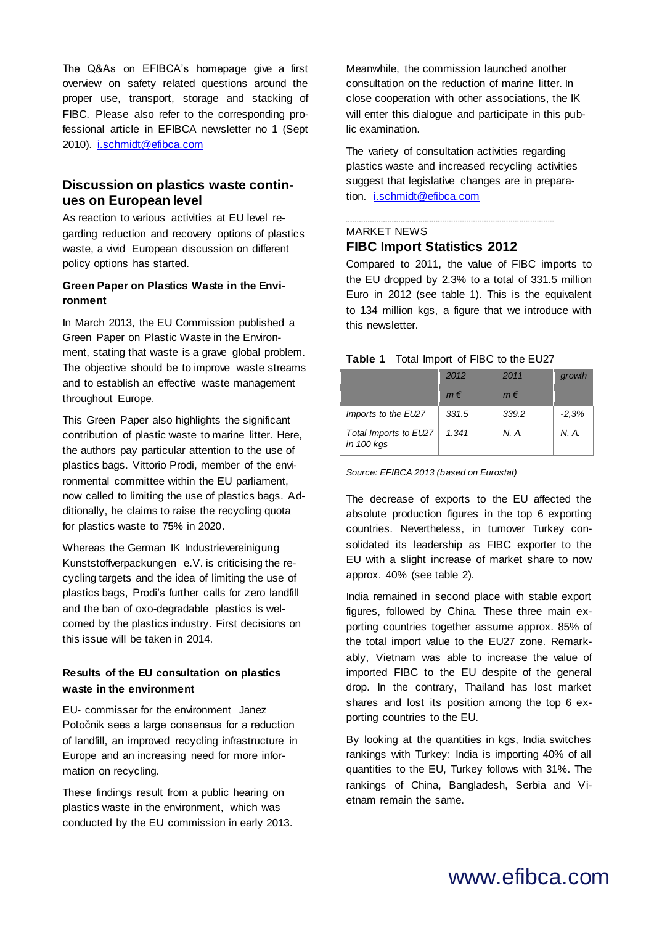The Q&As on EFIBCA's homepage give a first overview on safety related questions around the proper use, transport, storage and stacking of FIBC. Please also refer to the corresponding professional article in EFIBCA newsletter no 1 (Sept 2010). [i.schmidt@efibca.com](mailto:i.schmidt@efibca.com)

# **Discussion on plastics waste continues on European level**

As reaction to various activities at EU level regarding reduction and recovery options of plastics waste, a vivid European discussion on different policy options has started.

## **Green Paper on Plastics Waste in the Environment**

In March 2013, the EU Commission published a Green Paper on Plastic Waste in the Environment, stating that waste is a grave global problem. The objective should be to improve waste streams and to establish an effective waste management throughout Europe.

This Green Paper also highlights the significant contribution of plastic waste to marine litter. Here, the authors pay particular attention to the use of plastics bags. Vittorio Prodi, member of the environmental committee within the EU parliament, now called to limiting the use of plastics bags. Additionally, he claims to raise the recycling quota for plastics waste to 75% in 2020.

Whereas the German IK Industrievereinigung Kunststoffverpackungen e.V. is criticising the recycling targets and the idea of limiting the use of plastics bags, Prodi's further calls for zero landfill and the ban of oxo-degradable plastics is welcomed by the plastics industry. First decisions on this issue will be taken in 2014.

## **Results of the EU consultation on plastics waste in the environment**

EU- commissar for the environment Janez Potočnik sees a large consensus for a reduction of landfill, an improved recycling infrastructure in Europe and an increasing need for more information on recycling.

These findings result from a public hearing on plastics waste in the environment, which was conducted by the EU commission in early 2013.

Meanwhile, the commission launched another consultation on the reduction of marine litter. In close cooperation with other associations, the IK will enter this dialogue and participate in this public examination.

The variety of consultation activities regarding plastics waste and increased recycling activities suggest that legislative changes are in preparation. [i.schmidt@efibca.com](mailto:i.schmidt@efibca.com)

# MARKET NEWS **FIBC Import Statistics 2012**

Compared to 2011, the value of FIBC imports to the EU dropped by 2.3% to a total of 331.5 million Euro in 2012 (see table 1). This is the equivalent to 134 million kgs, a figure that we introduce with this newsletter.

| .                                   |         |         |         |  |
|-------------------------------------|---------|---------|---------|--|
|                                     | 2012    | 2011    | growth  |  |
|                                     | $m \in$ | $m \in$ |         |  |
| Imports to the EU27                 | 331.5   | 339.2   | $-2.3%$ |  |
| Total Imports to EU27<br>in 100 kgs | 1.341   | N. A.   | N. A.   |  |

## Table 1 Total Import of FIBC to the FU27

*Source: EFIBCA 2013 (based on Eurostat)*

The decrease of exports to the EU affected the absolute production figures in the top 6 exporting countries. Nevertheless, in turnover Turkey consolidated its leadership as FIBC exporter to the EU with a slight increase of market share to now approx. 40% (see table 2).

India remained in second place with stable export figures, followed by China. These three main exporting countries together assume approx. 85% of the total import value to the EU27 zone. Remarkably, Vietnam was able to increase the value of imported FIBC to the EU despite of the general drop. In the contrary, Thailand has lost market shares and lost its position among the top 6 exporting countries to the EU.

By looking at the quantities in kgs, India switches rankings with Turkey: India is importing 40% of all quantities to the EU, Turkey follows with 31%. The rankings of China, Bangladesh, Serbia and Vietnam remain the same.